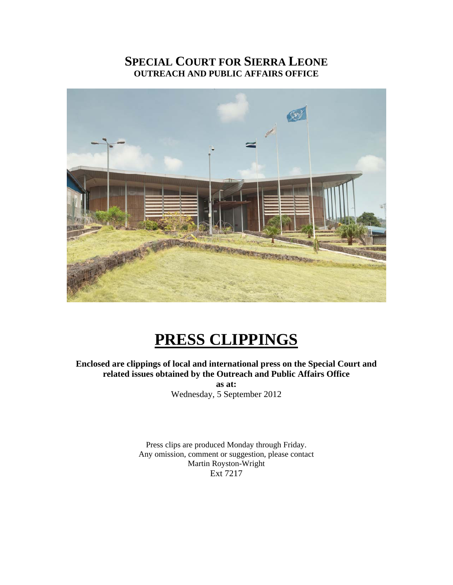## **SPECIAL COURT FOR SIERRA LEONE OUTREACH AND PUBLIC AFFAIRS OFFICE**



# **PRESS CLIPPINGS**

**Enclosed are clippings of local and international press on the Special Court and related issues obtained by the Outreach and Public Affairs Office** 

**as at:**  Wednesday, 5 September 2012

Press clips are produced Monday through Friday. Any omission, comment or suggestion, please contact Martin Royston-Wright Ext 7217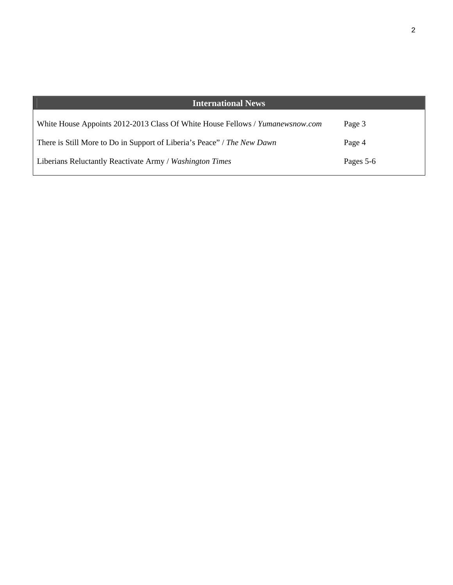| <b>International News</b>                                                     |           |
|-------------------------------------------------------------------------------|-----------|
| White House Appoints 2012-2013 Class Of White House Fellows / Yumanewsnow.com | Page 3    |
| There is Still More to Do in Support of Liberia's Peace" / The New Dawn       | Page 4    |
| Liberians Reluctantly Reactivate Army / Washington Times                      | Pages 5-6 |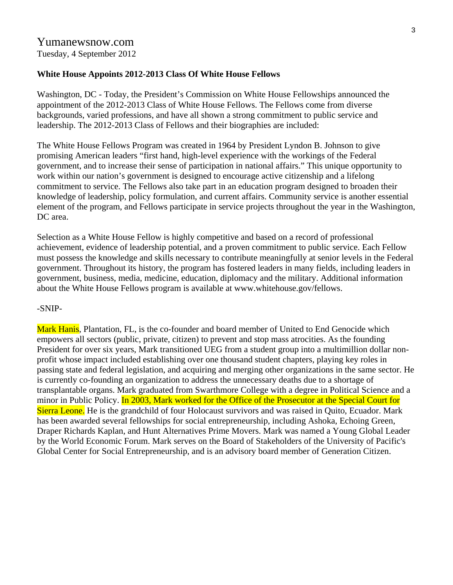#### Yumanewsnow.com Tuesday, 4 September 2012

#### **White House Appoints 2012-2013 Class Of White House Fellows**

Washington, DC - Today, the President's Commission on White House Fellowships announced the appointment of the 2012-2013 Class of White House Fellows. The Fellows come from diverse backgrounds, varied professions, and have all shown a strong commitment to public service and leadership. The 2012-2013 Class of Fellows and their biographies are included:

The White House Fellows Program was created in 1964 by President Lyndon B. Johnson to give promising American leaders "first hand, high-level experience with the workings of the Federal government, and to increase their sense of participation in national affairs." This unique opportunity to work within our nation's government is designed to encourage active citizenship and a lifelong commitment to service. The Fellows also take part in an education program designed to broaden their knowledge of leadership, policy formulation, and current affairs. Community service is another essential element of the program, and Fellows participate in service projects throughout the year in the Washington, DC area.

Selection as a White House Fellow is highly competitive and based on a record of professional achievement, evidence of leadership potential, and a proven commitment to public service. Each Fellow must possess the knowledge and skills necessary to contribute meaningfully at senior levels in the Federal government. Throughout its history, the program has fostered leaders in many fields, including leaders in government, business, media, medicine, education, diplomacy and the military. Additional information about the White House Fellows program is available at www.whitehouse.gov/fellows.

#### -SNIP-

Mark Hanis, Plantation, FL, is the co-founder and board member of United to End Genocide which empowers all sectors (public, private, citizen) to prevent and stop mass atrocities. As the founding President for over six years, Mark transitioned UEG from a student group into a multimillion dollar nonprofit whose impact included establishing over one thousand student chapters, playing key roles in passing state and federal legislation, and acquiring and merging other organizations in the same sector. He is currently co-founding an organization to address the unnecessary deaths due to a shortage of transplantable organs. Mark graduated from Swarthmore College with a degree in Political Science and a minor in Public Policy. In 2003, Mark worked for the Office of the Prosecutor at the Special Court for Sierra Leone. He is the grandchild of four Holocaust survivors and was raised in Quito, Ecuador. Mark has been awarded several fellowships for social entrepreneurship, including Ashoka, Echoing Green, Draper Richards Kaplan, and Hunt Alternatives Prime Movers. Mark was named a Young Global Leader by the World Economic Forum. Mark serves on the Board of Stakeholders of the University of Pacific's Global Center for Social Entrepreneurship, and is an advisory board member of Generation Citizen.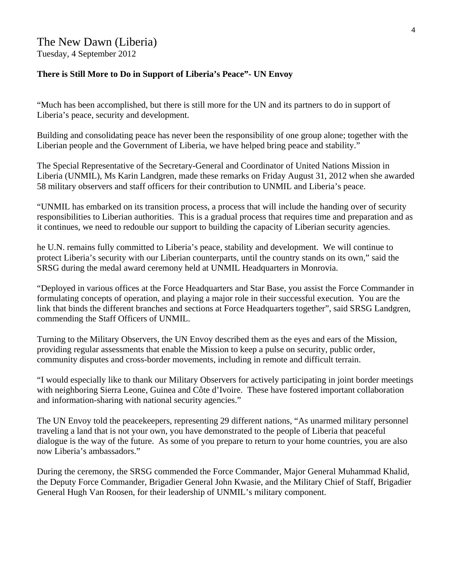#### The New Dawn (Liberia) Tuesday, 4 September 2012

**There is Still More to Do in Support of Liberia's Peace"- UN Envoy** 

"Much has been accomplished, but there is still more for the UN and its partners to do in support of Liberia's peace, security and development.

Building and consolidating peace has never been the responsibility of one group alone; together with the Liberian people and the Government of Liberia, we have helped bring peace and stability."

The Special Representative of the Secretary-General and Coordinator of United Nations Mission in Liberia (UNMIL), Ms Karin Landgren, made these remarks on Friday August 31, 2012 when she awarded 58 military observers and staff officers for their contribution to UNMIL and Liberia's peace.

"UNMIL has embarked on its transition process, a process that will include the handing over of security responsibilities to Liberian authorities. This is a gradual process that requires time and preparation and as it continues, we need to redouble our support to building the capacity of Liberian security agencies.

he U.N. remains fully committed to Liberia's peace, stability and development. We will continue to protect Liberia's security with our Liberian counterparts, until the country stands on its own," said the SRSG during the medal award ceremony held at UNMIL Headquarters in Monrovia.

"Deployed in various offices at the Force Headquarters and Star Base, you assist the Force Commander in formulating concepts of operation, and playing a major role in their successful execution. You are the link that binds the different branches and sections at Force Headquarters together", said SRSG Landgren, commending the Staff Officers of UNMIL.

Turning to the Military Observers, the UN Envoy described them as the eyes and ears of the Mission, providing regular assessments that enable the Mission to keep a pulse on security, public order, community disputes and cross-border movements, including in remote and difficult terrain.

"I would especially like to thank our Military Observers for actively participating in joint border meetings with neighboring Sierra Leone, Guinea and Côte d'Ivoire. These have fostered important collaboration and information-sharing with national security agencies."

The UN Envoy told the peacekeepers, representing 29 different nations, "As unarmed military personnel traveling a land that is not your own, you have demonstrated to the people of Liberia that peaceful dialogue is the way of the future. As some of you prepare to return to your home countries, you are also now Liberia's ambassadors."

During the ceremony, the SRSG commended the Force Commander, Major General Muhammad Khalid, the Deputy Force Commander, Brigadier General John Kwasie, and the Military Chief of Staff, Brigadier General Hugh Van Roosen, for their leadership of UNMIL's military component.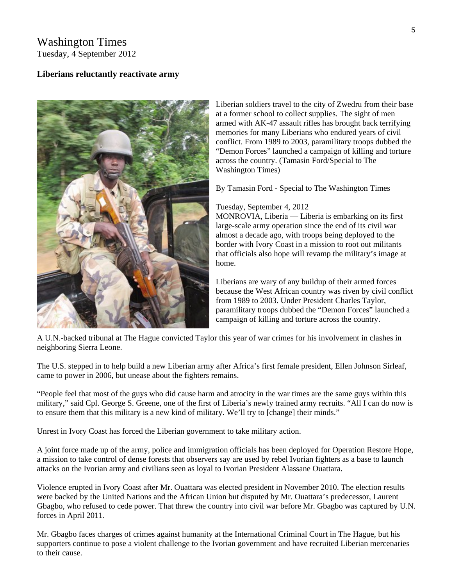### Washington Times Tuesday, 4 September 2012

#### **Liberians reluctantly reactivate army**



Liberian soldiers travel to the city of Zwedru from their base at a former school to collect supplies. The sight of men armed with AK-47 assault rifles has brought back terrifying memories for many Liberians who endured years of civil conflict. From 1989 to 2003, paramilitary troops dubbed the "Demon Forces" launched a campaign of killing and torture across the country. (Tamasin Ford/Special to The Washington Times)

By Tamasin Ford - Special to The Washington Times

#### Tuesday, September 4, 2012

MONROVIA, Liberia — Liberia is embarking on its first large-scale army operation since the end of its civil war almost a decade ago, with troops being deployed to the border with Ivory Coast in a mission to root out militants that officials also hope will revamp the military's image at home.

Liberians are wary of any buildup of their armed forces because the West African country was riven by civil conflict from 1989 to 2003. Under President Charles Taylor, paramilitary troops dubbed the "Demon Forces" launched a campaign of killing and torture across the country.

A U.N.-backed tribunal at The Hague convicted Taylor this year of war crimes for his involvement in clashes in neighboring Sierra Leone.

The U.S. stepped in to help build a new Liberian army after Africa's first female president, Ellen Johnson Sirleaf, came to power in 2006, but unease about the fighters remains.

"People feel that most of the guys who did cause harm and atrocity in the war times are the same guys within this military," said Cpl. George S. Greene, one of the first of Liberia's newly trained army recruits. "All I can do now is to ensure them that this military is a new kind of military. We'll try to [change] their minds."

Unrest in Ivory Coast has forced the Liberian government to take military action.

A joint force made up of the army, police and immigration officials has been deployed for Operation Restore Hope, a mission to take control of dense forests that observers say are used by rebel Ivorian fighters as a base to launch attacks on the Ivorian army and civilians seen as loyal to Ivorian President Alassane Ouattara.

Violence erupted in Ivory Coast after Mr. Ouattara was elected president in November 2010. The election results were backed by the United Nations and the African Union but disputed by Mr. Ouattara's predecessor, Laurent Gbagbo, who refused to cede power. That threw the country into civil war before Mr. Gbagbo was captured by U.N. forces in April 2011.

Mr. Gbagbo faces charges of crimes against humanity at the International Criminal Court in The Hague, but his supporters continue to pose a violent challenge to the Ivorian government and have recruited Liberian mercenaries to their cause.